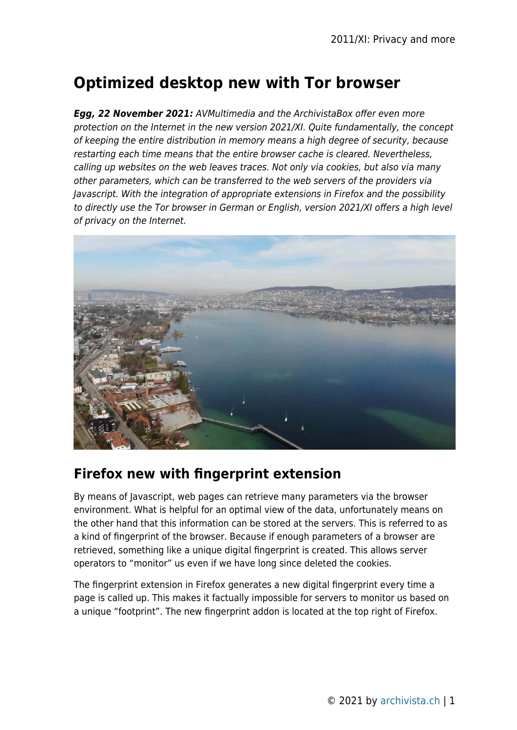# **Optimized desktop new with Tor browser**

*Egg, 22 November 2021:* AVMultimedia and the ArchivistaBox offer even more protection on the Internet in the new version 2021/XI. Quite fundamentally, the concept of keeping the entire distribution in memory means a high degree of security, because restarting each time means that the entire browser cache is cleared. Nevertheless, calling up websites on the web leaves traces. Not only via cookies, but also via many other parameters, which can be transferred to the web servers of the providers via Javascript. With the integration of appropriate extensions in Firefox and the possibility to directly use the Tor browser in German or English, version 2021/XI offers a high level of privacy on the Internet.



### **Firefox new with fingerprint extension**

By means of Javascript, web pages can retrieve many parameters via the browser environment. What is helpful for an optimal view of the data, unfortunately means on the other hand that this information can be stored at the servers. This is referred to as a kind of fingerprint of the browser. Because if enough parameters of a browser are retrieved, something like a unique digital fingerprint is created. This allows server operators to "monitor" us even if we have long since deleted the cookies.

The fingerprint extension in Firefox generates a new digital fingerprint every time a page is called up. This makes it factually impossible for servers to monitor us based on a unique "footprint". The new fingerprint addon is located at the top right of Firefox.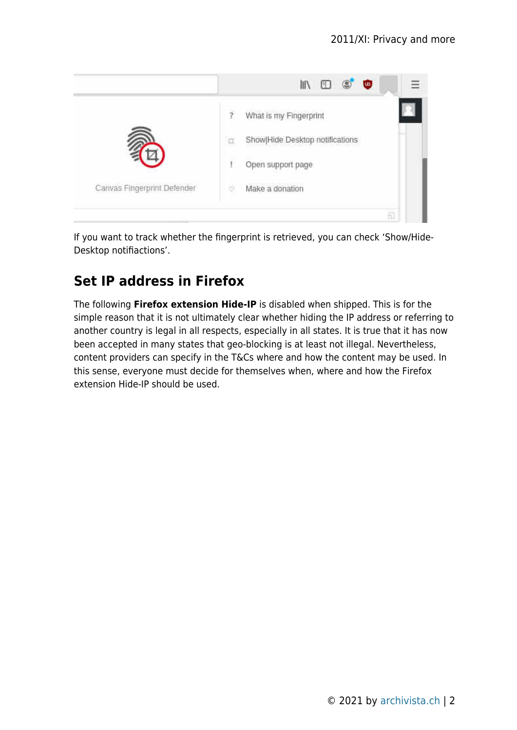

If you want to track whether the fingerprint is retrieved, you can check 'Show/Hide-Desktop notifiactions'.

## **Set IP address in Firefox**

The following **Firefox extension Hide-IP** is disabled when shipped. This is for the simple reason that it is not ultimately clear whether hiding the IP address or referring to another country is legal in all respects, especially in all states. It is true that it has now been accepted in many states that geo-blocking is at least not illegal. Nevertheless, content providers can specify in the T&Cs where and how the content may be used. In this sense, everyone must decide for themselves when, where and how the Firefox extension Hide-IP should be used.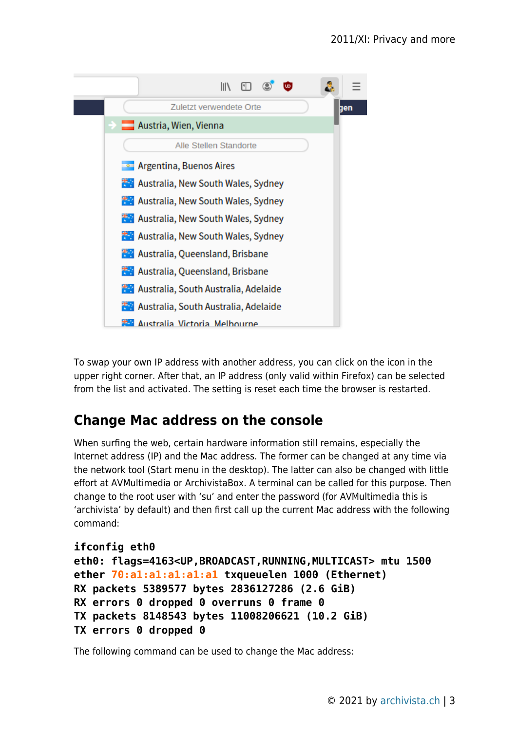

To swap your own IP address with another address, you can click on the icon in the upper right corner. After that, an IP address (only valid within Firefox) can be selected from the list and activated. The setting is reset each time the browser is restarted.

### **Change Mac address on the console**

When surfing the web, certain hardware information still remains, especially the Internet address (IP) and the Mac address. The former can be changed at any time via the network tool (Start menu in the desktop). The latter can also be changed with little effort at AVMultimedia or ArchivistaBox. A terminal can be called for this purpose. Then change to the root user with 'su' and enter the password (for AVMultimedia this is 'archivista' by default) and then first call up the current Mac address with the following command:

```
ifconfig eth0
eth0: flags=4163<UP,BROADCAST,RUNNING,MULTICAST> mtu 1500
ether 70:a1:a1:a1:a1:a1 txqueuelen 1000 (Ethernet)
RX packets 5389577 bytes 2836127286 (2.6 GiB)
RX errors 0 dropped 0 overruns 0 frame 0
TX packets 8148543 bytes 11008206621 (10.2 GiB)
TX errors 0 dropped 0
```
The following command can be used to change the Mac address: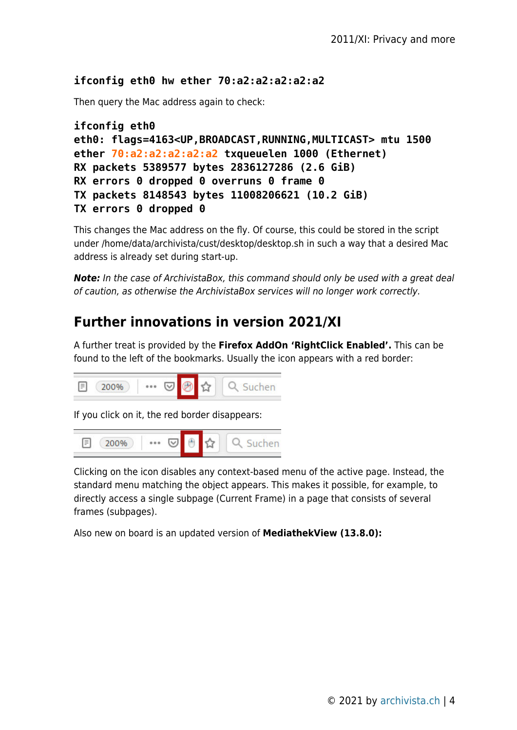#### **ifconfig eth0 hw ether 70:a2:a2:a2:a2:a2**

Then query the Mac address again to check:

```
ifconfig eth0
eth0: flags=4163<UP,BROADCAST,RUNNING,MULTICAST> mtu 1500
ether 70:a2:a2:a2:a2:a2 txqueuelen 1000 (Ethernet)
RX packets 5389577 bytes 2836127286 (2.6 GiB)
RX errors 0 dropped 0 overruns 0 frame 0
TX packets 8148543 bytes 11008206621 (10.2 GiB)
TX errors 0 dropped 0
```
This changes the Mac address on the fly. Of course, this could be stored in the script under /home/data/archivista/cust/desktop/desktop.sh in such a way that a desired Mac address is already set during start-up.

*Note:* In the case of ArchivistaBox, this command should only be used with a great deal of caution, as otherwise the ArchivistaBox services will no longer work correctly.

### **Further innovations in version 2021/XI**

A further treat is provided by the **Firefox AddOn 'RightClick Enabled'.** This can be found to the left of the bookmarks. Usually the icon appears with a red border:



If you click on it, the red border disappears:



Clicking on the icon disables any context-based menu of the active page. Instead, the standard menu matching the object appears. This makes it possible, for example, to directly access a single subpage (Current Frame) in a page that consists of several frames (subpages).

Also new on board is an updated version of **MediathekView (13.8.0):**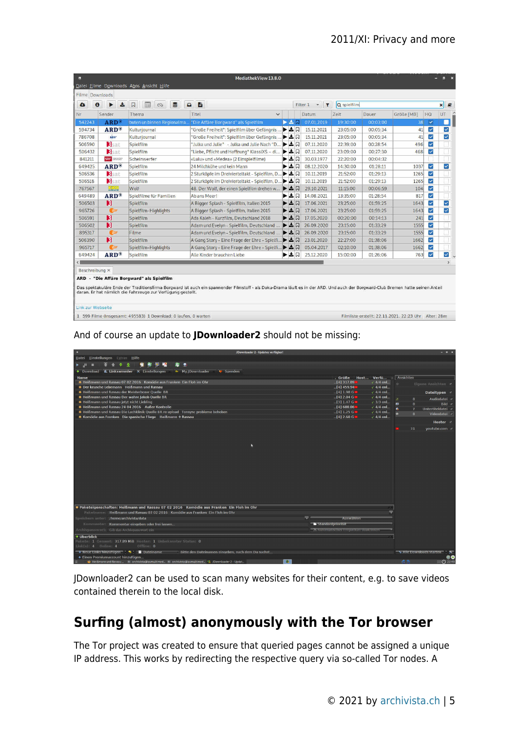| $\bullet$ | 击<br>A              | 肩<br>$\mathbf{u}$<br>同<br>$\infty$ | F<br>$\bullet$                                     |     | Filter 1<br>$\mathcal{A}$<br>$\mathbf{r}$ | Q spielfilm |          |            |                         | P)<br>×                 |
|-----------|---------------------|------------------------------------|----------------------------------------------------|-----|-------------------------------------------|-------------|----------|------------|-------------------------|-------------------------|
| Nr        | Sender              | Thema                              | Titel<br>$\ddot{}$                                 |     | <b>Datum</b>                              | <b>Zeit</b> | Dauer    | Größe [MB] | HQ                      | UT                      |
| 542243    | $ARD^*$             | buten un binnen Regionalma         | "Die Affäre Borgward" als Spielfilm                | 医支风 | 07.01.2019                                | 19:30:00    | 00:03:00 | 38         | $\checkmark$            | u                       |
| 594734    | $ARD^{\circ}$       | Kulturjournal                      | "Große Freiheit": Spielfilm über Gefängnis         | ▶소ロ | 15.11.2021                                | 23:05:00    | 00:05:34 | 41         | ▽                       | ⊻                       |
| 786708    | NDR <sup>*</sup>    | Kulturjournal                      | "Große Freiheit": Spielfilm über Gefängnis         | ▶소디 | 15.11.2021                                | 23:05:00    | 00:05:34 | 41         | V                       | $\checkmark$            |
| 506590    | <b>B</b> sat        | Spielfilm                          | "Julka und Julie" - Julka und Julie Nach "D        | ▶소디 | 07.11.2020                                | 22:39:00    | 00:28:54 | 496        | $\overline{\mathbf{v}}$ |                         |
| 506432    | <b>B</b> sat        | Spielfilm                          | "Liebe, Pflicht und Hoffnung" KlassiXS - di<br>▶   | 上口  | 07.11.2020                                | 23:09:00    | 00:27:30 | 468        | $\overline{\mathbf{v}}$ |                         |
| 841211    | <b>SRF</b> Baseball | Scheinwerfer                       | «Lulu» und «Medea» (2 Einspielfilme)               | ▶≛局 | 30.03.1977                                | 22:20:00    | 00:04:32 |            |                         |                         |
| 649425    | $ARD^{\circ}$       | Spielfilm                          | 24 Milchkühe und kein Mann                         | ▶≛ධ | 08.12.2020                                | 14:30:00    | 01:28:11 | 1037       | $\overline{\mathbf{v}}$ | $\overline{\mathsf{v}}$ |
| 506536    | <b>B</b> sat        | Spielfilm                          | 2 Sturköpfe im Dreivierteltakt - Spielfilm, D<br>▶ | 上口  | 10.11.2019                                | 21:52:00    | 01:29:13 | 1265       | $\overline{\mathsf{v}}$ |                         |
| 506518    | <b>B</b> sat        | Spielfilm                          | 2 Sturköpfe im Dreivierteltakt - Spielfilm, D      | ▶놀다 | 10.11.2019                                | 21:52:00    | 01:29:13 | 1265       | $\overline{\mathsf{v}}$ |                         |
| 767567    | <b>Estrata</b>      | Wolf                               | 48. Der Wolf, der einen Spielfilm drehen w         | ▶소디 | 29.10.2021                                | 11:15:00    | 00:06:59 | 104        | $\checkmark$            |                         |
| 649489    | $ARD^{\circ}$       | Spielfilme für Familien            | Ab ans Meer!                                       | ▶≛ଯ | 14.08.2021                                | 13:35:00    | 01:28:54 | 817        | $\overline{\mathbf{v}}$ |                         |
| 506503    | Н                   | Spielfilm                          | A Bigger Splash - Spielfilm, Italien 2015          | ▶소디 | 17.06.2021                                | 23:25:00    | 01:59:25 | 1643       | $\checkmark$            | $\checkmark$            |
| 965726    | <b>Co</b>           | Spielfilm-Highlights               | A Bigger Splash - Spielfilm, Italien 2015          | ▶소디 | 17.06.2021                                | 23:25:00    | 01:59:25 | 1643       | $\checkmark$            | M                       |
| 506591    | н                   | Spielfilm                          | Ada Kaleh - Kurzfilm, Deutschland 2018             | ▶소디 | 17.05.2020                                | 00:20:00    | 00:14:13 | 241        | $\overline{\mathsf{v}}$ |                         |
| 506502    | Н                   | Spielfilm                          | Adam und Evelyn - Spielfilm, Deutschland           | ▶소디 | 26.09.2020                                | 23:15:00    | 01:33:29 | 1555       | $\overline{\mathsf{v}}$ |                         |
| 895317    | <b>G</b> DF         | Filme                              | Adam und Evelyn - Spielfilm, Deutschland           | ▶소디 | 26.09.2020                                | 23:15:00    | 01:33:29 | 1555       | $\overline{\mathbf{v}}$ |                         |
| 506390    | н                   | Spielfilm                          | A Gang Story - Eine Frage der Ehre - Spielfi       | ▶소디 | 23.01.2020                                | 22:27:00    | 01:38:06 | 1662       | M                       |                         |
|           | <b>Cor</b>          | Spielfilm-Highlights               | A Gang Story - Eine Frage der Ehre - Spielfi       | ▶소디 | 05.04.2017                                | 02:10:00    | 01:38:06 | 1662       | $\checkmark$            |                         |
| 965717    |                     | Spielfilm                          | Alle Kinder brauchen Liebe                         | ▶≛ଯ | 25.12.2020                                | 15:00:00    | 01:26:06 | 763        | $\overline{\mathbf{v}}$ | $\checkmark$            |

And of course an update to **JDownloader2** should not be missing:

| JDownloader 2 - Updates verfügbar!<br><b>D</b>                                                              |                                      |                      |           | $   \times$                       |
|-------------------------------------------------------------------------------------------------------------|--------------------------------------|----------------------|-----------|-----------------------------------|
| Einstellungen Extras Hilfe<br><b>Datei</b>                                                                  |                                      |                      |           |                                   |
| 囕<br>電車略<br>犀 鱼<br>₩.<br>÷<br>JГ<br>п                                                                       |                                      |                      |           |                                   |
| Download & Linksammler X Einstellungen<br><b>**</b> My.JDownloader<br>Spenden                               |                                      |                      |           |                                   |
| <b>Name</b>                                                                                                 | . Größe                              | Host Verfü           | Ansichten |                                   |
| Heißmann und Rassau 07 02 2016 Komödie aus Franken Ein Floh im Ohr                                          | $$ [4] 317.89 $\cdot$                | $\checkmark$ 4/4 onl | $\alpha$  | Eigene Ansichten 7                |
| Der keusche Lebemann Heißmann und Rassau                                                                    | $[4]$ 459.94 $\cdot$                 | $\sqrt{4/4}$ onl     |           |                                   |
| <b>B</b> Heißmann und Rassau der Meisterboxer Quelle BR                                                     | .1411.98G                            | $\checkmark$ 4/4 onl |           | <b>Dateitypen</b>                 |
| Heißmann und Rassau Der wahre Jakob Quelle BR                                                               | $[4]2.04$ G                          | $\checkmark$ 4/4 onl | J.        | Audiodatei<br>$\bf{8}$            |
| Heißmann und Rassau jetzt nicht Liebling                                                                    | [3] 1.47 G                           | $\sqrt{3}/3$ onl     | 兩         | $\bf{8}$<br><b>Bild</b>           |
| Heißmann und Rassau 24 04 2016 Außer Kontrolle                                                              | [4] 688.86                           | $\sqrt{4/4}$ onl     | $\bullet$ | $\overline{I}$<br>Untertiteldatei |
| Heißmann und Rassau Die Lachklinik Quelle BR re upload Tonsync probleme behoben                             | [4] 1.25 G                           | $\checkmark$ 4/4 onl | i.        | $\bf{8}$<br>Videodatei -          |
| Komödie aus Franken Die spanische Fliege Heißmann + Rassau                                                  | $[4]2.60$ G $\cdot$                  | $\checkmark$ 4/4 onl |           | Hoster                            |
|                                                                                                             |                                      |                      |           | 31<br>youtube.com                 |
|                                                                                                             |                                      |                      |           |                                   |
|                                                                                                             |                                      |                      |           |                                   |
|                                                                                                             |                                      |                      |           |                                   |
|                                                                                                             |                                      |                      |           |                                   |
|                                                                                                             |                                      |                      |           |                                   |
|                                                                                                             |                                      |                      |           |                                   |
|                                                                                                             |                                      |                      |           |                                   |
|                                                                                                             |                                      |                      |           |                                   |
|                                                                                                             |                                      |                      |           |                                   |
|                                                                                                             |                                      |                      |           |                                   |
|                                                                                                             |                                      |                      |           |                                   |
|                                                                                                             |                                      |                      |           |                                   |
|                                                                                                             |                                      |                      |           |                                   |
|                                                                                                             |                                      |                      |           |                                   |
| # Paketeigenschaften: Heißmann und Rassau 07 02 2016 Komödie aus Franken Ein Floh im Ohr                    |                                      |                      |           |                                   |
| Paketname: Heißmann und Rassau 07 02 2016 Komödie aus Franken Ein Floh im Ohr                               |                                      |                      |           |                                   |
| Speichern unter: /home/archivista/data                                                                      | Auswählen                            |                      |           |                                   |
| Kommentar: Kommentar eingeben oder frei lassen                                                              | Standardpriorität                    |                      |           |                                   |
| Archivpasswort: Gib das Archivpasswort ein                                                                  | X Automatisches Entpacken deakuviert |                      |           |                                   |
| <b>♦ Uberblick</b>                                                                                          |                                      |                      |           |                                   |
| Pakete: 1 Gesamt: 317.89 MiB Hoster: 1 Unbekannter Status: 0                                                |                                      |                      |           |                                   |
| $Link(s): 4$ Online: $4$<br>Offline: 0                                                                      |                                      |                      |           |                                   |
| + Neue Links hinzufügen < Dateiname<br>Bitte den Dateinamen eingeben, nach dem Du suchst                    |                                      |                      |           | Alle Downloads starten            |
| + Einen Premiumaccount hinzufügen                                                                           |                                      |                      |           |                                   |
| $\bullet$<br>Heißmann und Rassau  » archivista@avmultimed » archivista@avmultimed • 1 JDownloader 2 - Updat |                                      |                      | 6.5       | $(1)$ 22:49                       |

JDownloader2 can be used to scan many websites for their content, e.g. to save videos contained therein to the local disk.

## **Surfing (almost) anonymously with the Tor browser**

The Tor project was created to ensure that queried pages cannot be assigned a unique IP address. This works by redirecting the respective query via so-called Tor nodes. A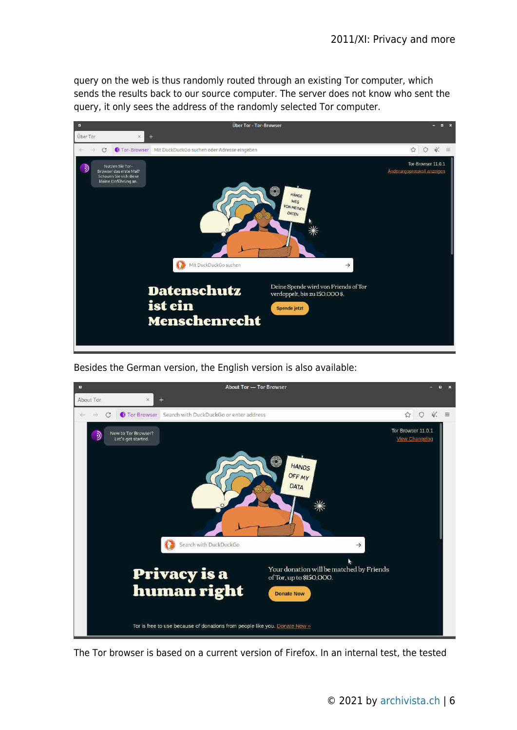query on the web is thus randomly routed through an existing Tor computer, which sends the results back to our source computer. The server does not know who sent the query, it only sees the address of the randomly selected Tor computer.



Besides the German version, the English version is also available:



The Tor browser is based on a current version of Firefox. In an internal test, the tested